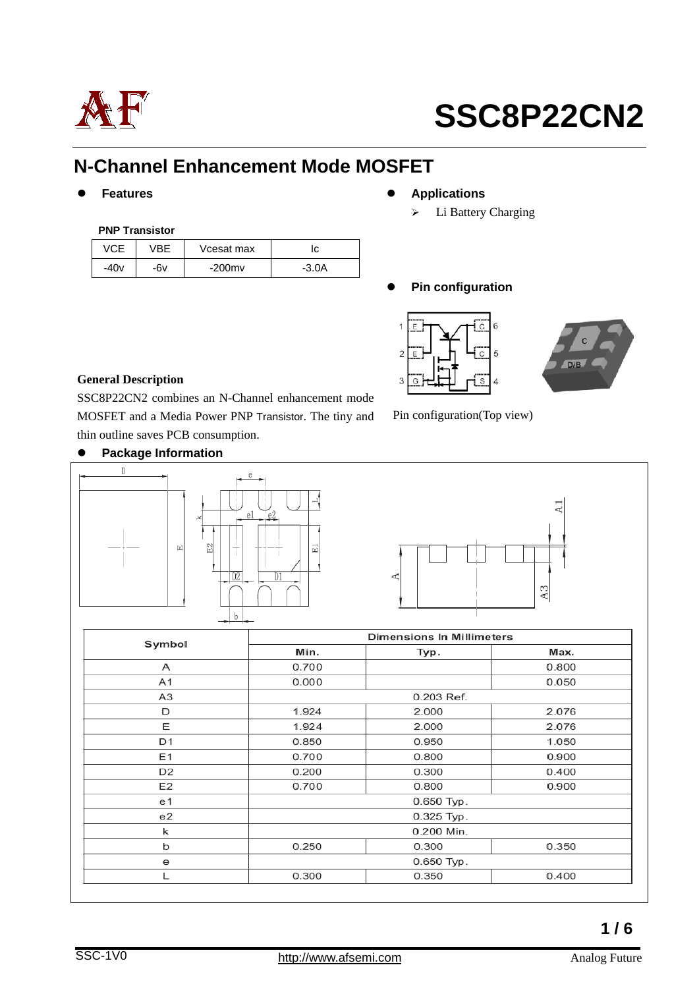

### **N-Channel Enhancement Mode MOSFET**

#### **PNP Transistor**

|        |     | Vcesat max |         |
|--------|-----|------------|---------|
| $-40v$ | -6v | $-200$ mv  | $-3.0A$ |

- **Features • Applications** 
	- > Li Battery Charging

**Pin configuration**



Pin configuration(Top view)



#### **General Description**

SSC8P22CN2 combines an N-Channel enhancement mode MOSFET and a Media Power PNP Transistor. The tiny and thin outline saves PCB consumption.





|                | <b>Dimensions In Millimeters</b> |              |       |  |  |
|----------------|----------------------------------|--------------|-------|--|--|
| Symbol         | Min.<br>Typ.                     |              | Max.  |  |  |
| A              | 0.700                            |              | 0.800 |  |  |
| A1             | 0.000                            |              | 0.050 |  |  |
| A3             | 0.203 Ref.                       |              |       |  |  |
| D              | 1.924                            | 2.000        | 2.076 |  |  |
| Е              | 1.924                            | 2.000        | 2.076 |  |  |
| D1             | 0.850                            | 0.950        | 1.050 |  |  |
| E1             | 0.700                            | 0.800        | 0.900 |  |  |
| D <sub>2</sub> | 0.200                            | 0.300        | 0.400 |  |  |
| E2             | 0.700                            | 0.800        | 0.900 |  |  |
| e1             | 0.650 Typ.                       |              |       |  |  |
| e2             | 0.325 Typ.                       |              |       |  |  |
| k              | 0.200 Min.                       |              |       |  |  |
| b              | 0.250                            | 0.300        | 0.350 |  |  |
| е              |                                  | $0.650$ Typ. |       |  |  |
|                | 0.300                            | 0.350        | 0.400 |  |  |

### **Package Information**

**1 / 6**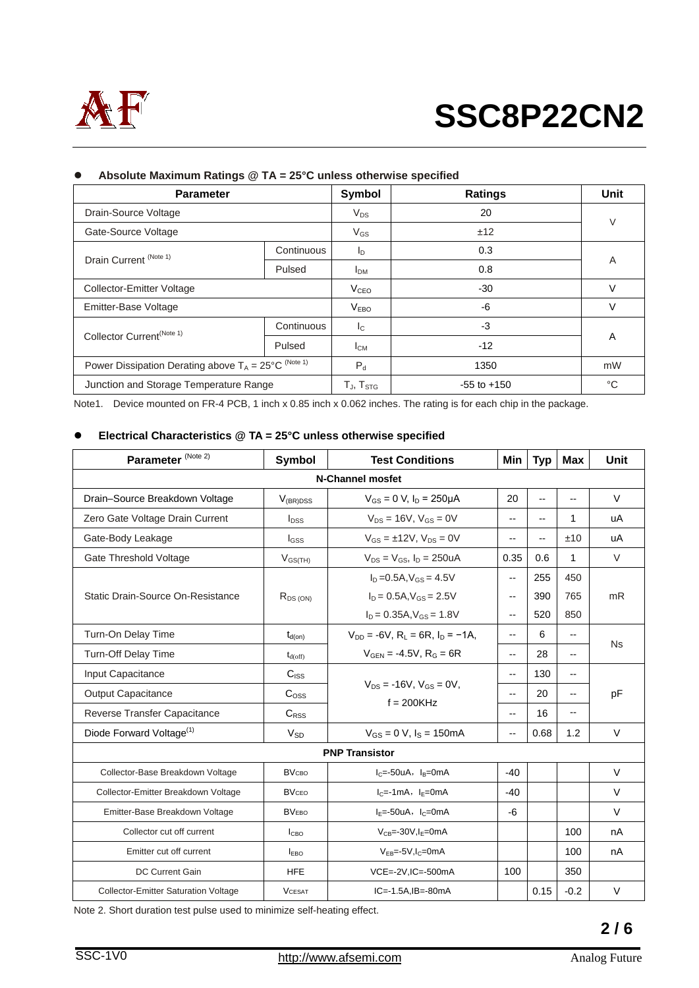

| <b>Parameter</b>                                                       |            | Symbol                    | <b>Ratings</b>  | Unit   |  |
|------------------------------------------------------------------------|------------|---------------------------|-----------------|--------|--|
| Drain-Source Voltage                                                   |            | $V_{DS}$                  | 20              | $\vee$ |  |
| Gate-Source Voltage                                                    |            | $V_{GS}$                  | ±12             |        |  |
| Drain Current <sup>(Note 1)</sup>                                      | Continuous | I <sub>D</sub>            | 0.3             | A      |  |
|                                                                        | Pulsed     | <b>I</b> <sub>DM</sub>    | 0.8             |        |  |
| Collector-Emitter Voltage                                              |            | V <sub>CEO</sub>          | $-30$           | V      |  |
| Emitter-Base Voltage                                                   |            | <b>VEBO</b>               | -6              | V      |  |
| Collector Current <sup>(Note 1)</sup>                                  | Continuous | $\mathsf{I}_{\mathsf{C}}$ | $-3$            | A      |  |
|                                                                        | Pulsed     | Iсм                       | $-12$           |        |  |
| Power Dissipation Derating above $T_A = 25^{\circ}C^{(\text{Note 1})}$ |            | $P_d$                     | 1350            | mW     |  |
| Junction and Storage Temperature Range                                 |            | $T_{J}$ , $T_{STG}$       | $-55$ to $+150$ | °C     |  |

#### **Absolute Maximum Ratings @ TA = 25°C unless otherwise specified**

Note1. Device mounted on FR-4 PCB, 1 inch x 0.85 inch x 0.062 inches. The rating is for each chip in the package.

#### **Electrical Characteristics @ TA = 25°C unless otherwise specified**

| Parameter <sup>(Note 2)</sup>               | Symbol              | <b>Test Conditions</b>                                                                        | Min                      | <b>Typ</b> | <b>Max</b>               | Unit      |  |  |
|---------------------------------------------|---------------------|-----------------------------------------------------------------------------------------------|--------------------------|------------|--------------------------|-----------|--|--|
| <b>N-Channel mosfet</b>                     |                     |                                                                                               |                          |            |                          |           |  |  |
| Drain-Source Breakdown Voltage              | $V_{(BR)DSS}$       | $V_{GS} = 0$ V, $I_D = 250 \mu A$                                                             | 20                       | --         | $\overline{\phantom{a}}$ | $\vee$    |  |  |
| Zero Gate Voltage Drain Current             | $I_{DSS}$           | $V_{DS} = 16V$ , $V_{GS} = 0V$                                                                | --                       | $-$        | 1                        | uA        |  |  |
| Gate-Body Leakage                           | $I_{GSS}$           | $V_{GS} = \pm 12V$ , $V_{DS} = 0V$                                                            | --                       | $- -$      | ±10                      | uA        |  |  |
| Gate Threshold Voltage                      | $V_{GS(TH)}$        | $V_{DS} = V_{GS}$ , $I_D = 250uA$                                                             | 0.35                     | 0.6        | 1                        | $\vee$    |  |  |
|                                             |                     | $I_D = 0.5A$ , $V_{GS} = 4.5V$                                                                | --                       | 255        | 450                      |           |  |  |
| Static Drain-Source On-Resistance           | $R_{DS(ON)}$        | $I_D = 0.5A$ , $V_{GS} = 2.5V$                                                                |                          | 390        | 765                      | mR        |  |  |
|                                             |                     | $I_D = 0.35A$ , $V_{GS} = 1.8V$                                                               | $\overline{\phantom{a}}$ | 520        | 850                      |           |  |  |
| Turn-On Delay Time                          | $t_{d(on)}$         | $V_{DD} = -6V$ , $R_1 = 6R$ , $I_D = -1A$ .<br>$V_{\text{GFN}} = -4.5V$ , $R_{\text{G}} = 6R$ |                          | 6          | $\overline{\phantom{a}}$ | <b>Ns</b> |  |  |
| Turn-Off Delay Time                         | $t_{d(\text{off})}$ |                                                                                               |                          | 28         | $-$                      |           |  |  |
| Input Capacitance                           | $C_{ISS}$           | $V_{DS}$ = -16V, $V_{GS}$ = 0V.<br>$f = 200K$ Hz                                              |                          | 130        | $\overline{\phantom{a}}$ | pF        |  |  |
| <b>Output Capacitance</b>                   | C <sub>oss</sub>    |                                                                                               |                          | 20         | $\overline{\phantom{a}}$ |           |  |  |
| Reverse Transfer Capacitance                | C <sub>RSS</sub>    |                                                                                               |                          | 16         | $\overline{\phantom{a}}$ |           |  |  |
| Diode Forward Voltage <sup>(1)</sup>        | $V_{SD}$            | $V_{GS} = 0$ V, $I_S = 150$ mA                                                                | --                       | 0.68       | 1.2                      | $\vee$    |  |  |
| <b>PNP Transistor</b>                       |                     |                                                                                               |                          |            |                          |           |  |  |
| Collector-Base Breakdown Voltage            | <b>BV</b> сво       | $IC=-50uA, IB=0mA$                                                                            | $-40$                    |            |                          | V         |  |  |
| Collector-Emitter Breakdown Voltage         | <b>BVCEO</b>        | $I_C = -1mA$ , $I_F = 0mA$                                                                    | $-40$                    |            |                          | $\vee$    |  |  |
| Emitter-Base Breakdown Voltage              | <b>BVEBO</b>        | $I_E = -50uA$ , $I_C = 0mA$                                                                   | -6                       |            |                          | $\vee$    |  |  |
| Collector cut off current                   | I <sub>СВО</sub>    | $V_{CB} = -30V, I_E = 0mA$                                                                    |                          |            | 100                      | nA        |  |  |
| Emitter cut off current                     | $I_{FBO}$           | $V_{FB} = -5V$ , $I_C = 0$ mA                                                                 |                          |            | 100                      | nA        |  |  |
| <b>DC Current Gain</b>                      | <b>HFE</b>          | VCE=-2V,IC=-500mA                                                                             | 100                      |            | 350                      |           |  |  |
| <b>Collector-Emitter Saturation Voltage</b> | <b>VCESAT</b>       | $IC=-1.5A$ , $IB=-80mA$                                                                       |                          | 0.15       | $-0.2$                   | $\vee$    |  |  |

Note 2. Short duration test pulse used to minimize self-heating effect.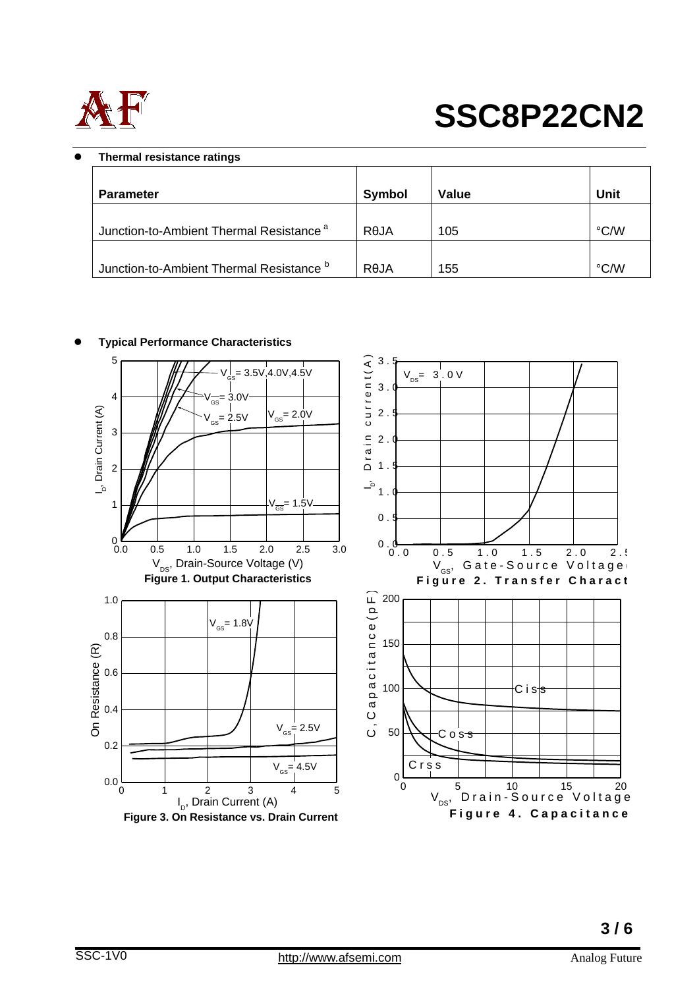

#### **Thermal resistance ratings**

| <b>Parameter</b>                                    | <b>Symbol</b> | <b>Value</b> | <b>Unit</b>        |
|-----------------------------------------------------|---------------|--------------|--------------------|
| Junction-to-Ambient Thermal Resistance <sup>a</sup> | ROJA          | 105          | $\rm ^{\circ}$ C/W |
| Junction-to-Ambient Thermal Resistance b            | RAJA          | 155          | $\rm ^{\circ}$ C/W |



#### **Typical Performance Characteristics**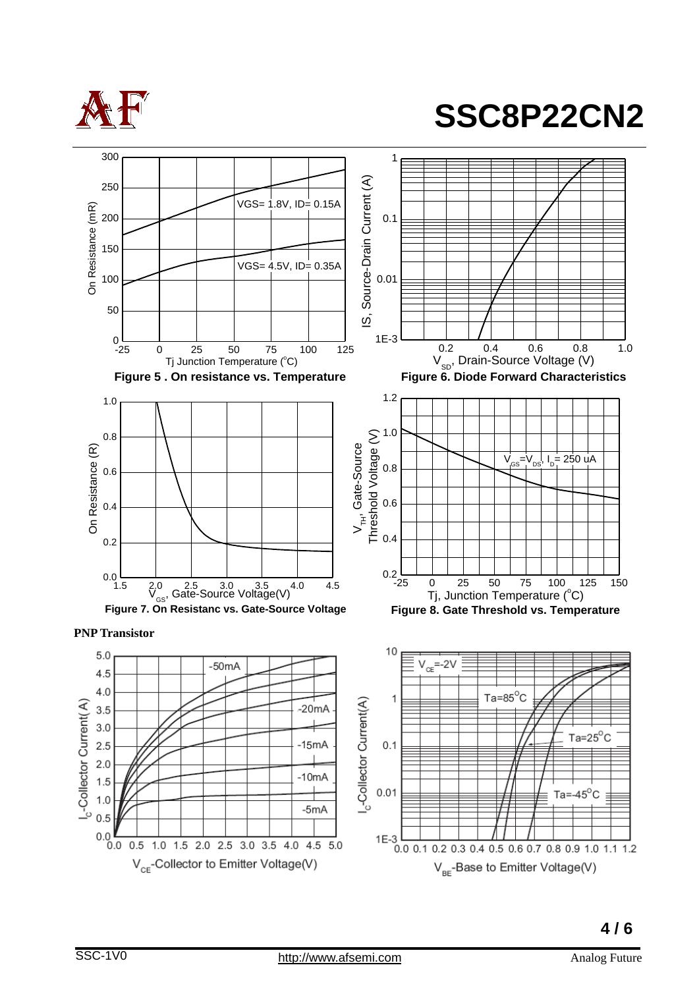



V<sub>BE</sub>-Base to Emitter Voltage(V)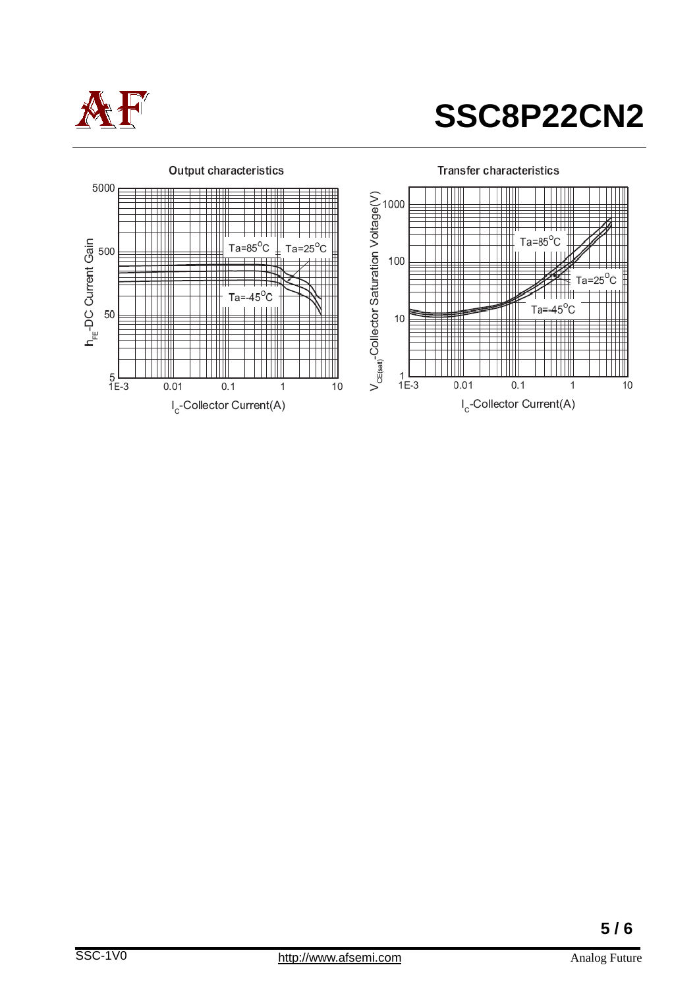